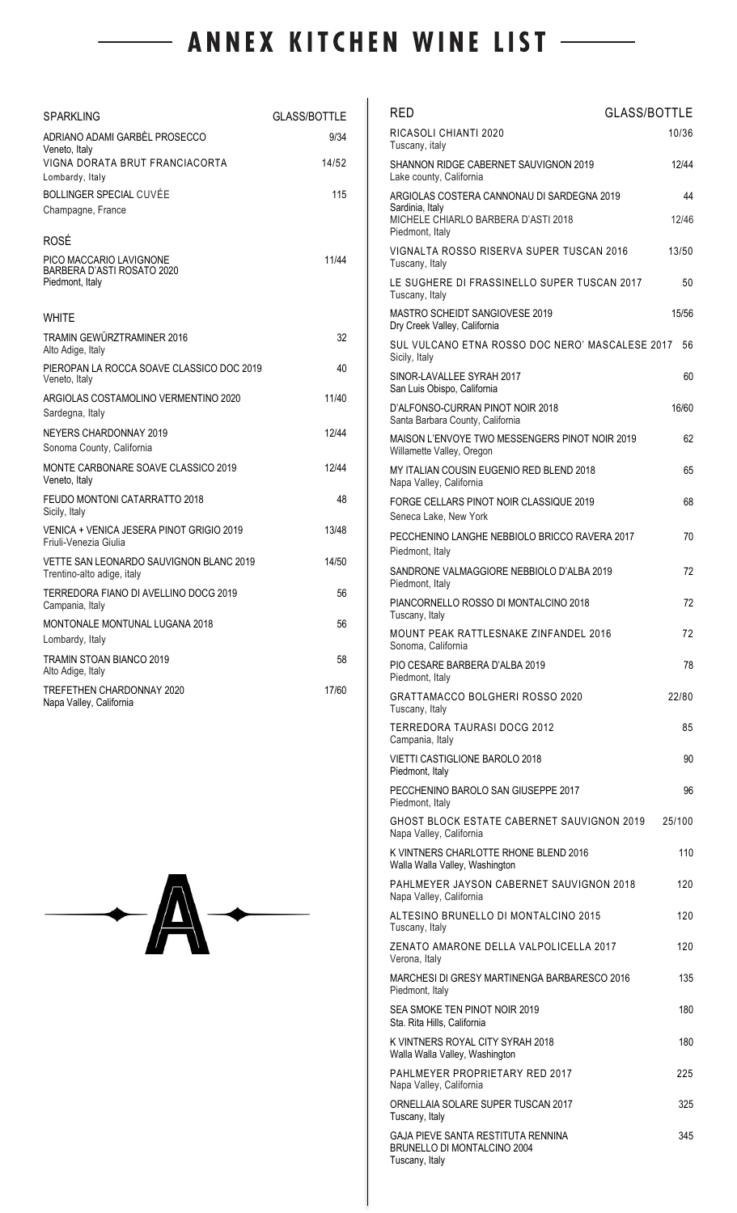## ANNEX KITCHEN WINE LIST --

| SPARKLING                                                                | GLASS/BOTTLE |
|--------------------------------------------------------------------------|--------------|
| ADRIANO ADAMI GARBÈL PROSECCO<br>Veneto, Italy                           | 9/34         |
| VIGNA DORATA BRUT FRANCIACORTA<br>Lombardy, Italy                        | 14/52        |
| <b>BOLLINGER SPECIAL CUVÉE</b>                                           | 115          |
| Champagne, France                                                        |              |
| ROSÉ                                                                     |              |
| PICO MACCARIO LAVIGNONE<br>BARBERA D'ASTI ROSATO 2020<br>Piedmont, Italy | 11/44        |
| WHITE                                                                    |              |
| TRAMIN GEWÜRZTRAMINER 2016<br>Alto Adige, Italy                          | 32           |
| PIEROPAN LA ROCCA SOAVE CLASSICO DOC 2019<br>Veneto, Italy               | 40           |
| ARGIOLAS COSTAMOLINO VERMENTINO 2020<br>Sardegna, Italy                  | 11/40        |
| <b>NEYERS CHARDONNAY 2019</b>                                            | 12/44        |
| Sonoma County, California                                                |              |
| MONTE CARBONARE SOAVE CLASSICO 2019<br>Veneto, Italy                     | 12/44        |
| FEUDO MONTONI CATARRATTO 2018<br>Sicily, Italy                           | 48           |
| VENICA + VENICA JESERA PINOT GRIGIO 2019<br>Friuli-Venezia Giulia        | 13/48        |
| VETTE SAN LEONARDO SAUVIGNON BLANC 2019<br>Trentino-alto adige, italy    | 14/50        |
| TERREDORA FIANO DI AVELLINO DOCG 2019<br>Campania, Italy                 | 56           |
| MONTONALE MONTUNAL LUGANA 2018<br>Lombardy, Italy                        | 56           |
| <b>TRAMIN STOAN BIANCO 2019</b><br>Alto Adige, Italy                     | 58           |
| TREFETHEN CHARDONNAY 2020<br>Napa Valley, California                     | 17/60        |



| RED                                                                                                                     | <b>GLASS/BOTTLE</b> |
|-------------------------------------------------------------------------------------------------------------------------|---------------------|
| RICASOLI CHIANTI 2020<br>Tuscany, italy                                                                                 | 10/36               |
| SHANNON RIDGE CABERNET SAUVIGNON 2019<br>Lake county, California                                                        | 12/44               |
| ARGIOLAS COSTERA CANNONAU DI SARDEGNA 2019<br>Sardinia, Italy<br>MICHELE CHIARLO BARBERA D'ASTI 2018<br>Piedmont, Italy | 44<br>12/46         |
| VIGNALTA ROSSO RISERVA SUPER TUSCAN 2016<br>Tuscany, Italy                                                              | 13/50               |
| LE SUGHERE DI FRASSINELLO SUPER TUSCAN 2017<br>Tuscany, Italy                                                           | 50                  |
| MASTRO SCHEIDT SANGIOVESE 2019<br>Dry Creek Valley, California                                                          | 15/56               |
| SUL VULCANO ETNA ROSSO DOC NERO' MASCALESE 2017<br>Sicily, Italy                                                        | 56                  |
| SINOR-LAVALLEE SYRAH 2017<br>San Luis Obispo, California                                                                | 60                  |
| D'ALFONSO-CURRAN PINOT NOIR 2018<br>Santa Barbara County, California                                                    | 16/60               |
| MAISON L'ENVOYE TWO MESSENGERS PINOT NOIR 2019<br>Willamette Valley, Oregon                                             | 62                  |
| MY ITALIAN COUSIN EUGENIO RED BLEND 2018<br>Napa Valley, California                                                     | 65                  |
| FORGE CELLARS PINOT NOIR CLASSIQUE 2019<br>Seneca Lake, New York                                                        | 68                  |
| PECCHENINO LANGHE NEBBIOLO BRICCO RAVERA 2017<br>Piedmont, Italy                                                        | 70                  |
| SANDRONE VALMAGGIORE NEBBIOLO D'ALBA 2019<br>Piedmont, Italy                                                            | 72                  |
| PIANCORNELLO ROSSO DI MONTALCINO 2018<br>Tuscany, Italy                                                                 | 72                  |
| MOUNT PEAK RATTLESNAKE ZINFANDEL 2016<br>Sonoma, California                                                             | 72                  |
| PIO CESARE BARBERA D'ALBA 2019<br>Piedmont, Italy                                                                       | 78                  |
| <b>GRATTAMACCO BOLGHERI ROSSO 2020</b><br>Tuscany, Italy                                                                | 22/80               |
| <b>TERREDORA TAURASI DOCG 2012</b><br>Campania, Italy                                                                   | 85                  |
| <b>VIETTI CASTIGLIONE BAROLO 2018</b><br>Piedmont, Italy                                                                | 90                  |
| PECCHENINO BAROLO SAN GIUSEPPE 2017<br>Piedmont, Italy                                                                  | 96                  |
| GHOST BLOCK ESTATE CABERNET SAUVIGNON 2019<br>Napa Valley, California                                                   | 25/100              |
| K VINTNERS CHARLOTTE RHONE BLEND 2016<br>Walla Walla Valley, Washington                                                 | 110                 |
| PAHLMEYER JAYSON CABERNET SAUVIGNON 2018<br>Napa Valley, California                                                     | 120                 |
| ALTESINO BRUNELLO DI MONTALCINO 2015<br>Tuscany, Italy                                                                  | 120                 |
| ZENATO AMARONE DELLA VALPOLICELLA 2017<br>Verona, Italy                                                                 | 120                 |
| MARCHESI DI GRESY MARTINENGA BARBARESCO 2016<br>Piedmont, Italy                                                         | 135                 |
| SEA SMOKE TEN PINOT NOIR 2019<br>Sta. Rita Hills, California                                                            | 180                 |
| K VINTNERS ROYAL CITY SYRAH 2018<br>Walla Walla Valley, Washington                                                      | 180                 |
| PAHLMEYER PROPRIETARY RED 2017<br>Napa Valley, California                                                               | 225                 |
| ORNELLAIA SOLARE SUPER TUSCAN 2017<br>Tuscany, Italy                                                                    | 325                 |
| GAJA PIEVE SANTA RESTITUTA RENNINA<br>BRUNELLO DI MONTALCINO 2004<br>Tuscany, Italy                                     | 345                 |